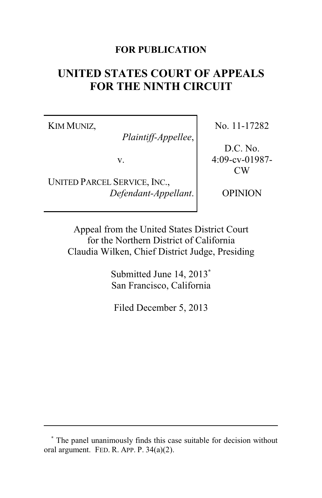### **FOR PUBLICATION**

# **UNITED STATES COURT OF APPEALS FOR THE NINTH CIRCUIT**

KIM MUNIZ,

*Plaintiff-Appellee*,

v.

UNITED PARCEL SERVICE, INC., *Defendant-Appellant*. No. 11-17282

D.C. No. 4:09-cv-01987- CW

OPINION

Appeal from the United States District Court for the Northern District of California Claudia Wilken, Chief District Judge, Presiding

> Submitted June 14, 2013**\*** San Francisco, California

Filed December 5, 2013

**<sup>\*</sup>** The panel unanimously finds this case suitable for decision without oral argument. FED. R. APP. P. 34(a)(2).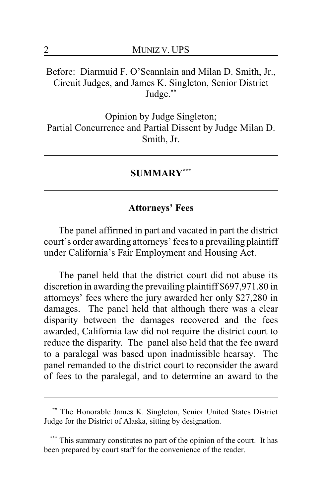# Before: Diarmuid F. O'Scannlain and Milan D. Smith, Jr., Circuit Judges, and James K. Singleton, Senior District Judge.**\*\***

Opinion by Judge Singleton; Partial Concurrence and Partial Dissent by Judge Milan D. Smith, Jr.

#### **SUMMARY\*\*\***

## **Attorneys' Fees**

The panel affirmed in part and vacated in part the district court's order awarding attorneys' fees to a prevailing plaintiff under California's Fair Employment and Housing Act.

The panel held that the district court did not abuse its discretion in awarding the prevailing plaintiff \$697,971.80 in attorneys' fees where the jury awarded her only \$27,280 in damages. The panel held that although there was a clear disparity between the damages recovered and the fees awarded, California law did not require the district court to reduce the disparity. The panel also held that the fee award to a paralegal was based upon inadmissible hearsay. The panel remanded to the district court to reconsider the award of fees to the paralegal, and to determine an award to the

**<sup>\*\*</sup>** The Honorable James K. Singleton, Senior United States District Judge for the District of Alaska, sitting by designation.

**<sup>\*\*\*</sup>** This summary constitutes no part of the opinion of the court. It has been prepared by court staff for the convenience of the reader.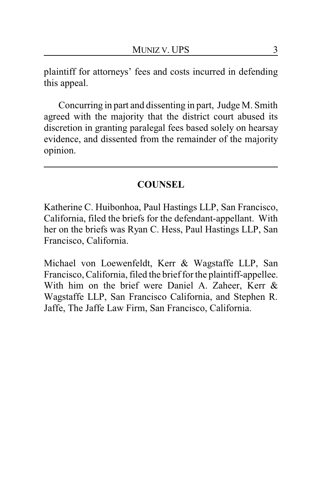plaintiff for attorneys' fees and costs incurred in defending this appeal.

Concurring in part and dissenting in part, Judge M. Smith agreed with the majority that the district court abused its discretion in granting paralegal fees based solely on hearsay evidence, and dissented from the remainder of the majority opinion.

# **COUNSEL**

Katherine C. Huibonhoa, Paul Hastings LLP, San Francisco, California, filed the briefs for the defendant-appellant. With her on the briefs was Ryan C. Hess, Paul Hastings LLP, San Francisco, California.

Michael von Loewenfeldt, Kerr & Wagstaffe LLP, San Francisco, California, filed the brief for the plaintiff-appellee. With him on the brief were Daniel A. Zaheer, Kerr & Wagstaffe LLP, San Francisco California, and Stephen R. Jaffe, The Jaffe Law Firm, San Francisco, California.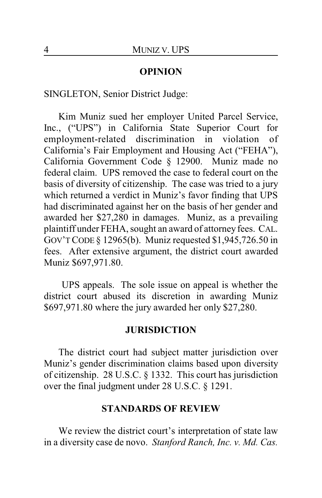#### **OPINION**

SINGLETON, Senior District Judge:

Kim Muniz sued her employer United Parcel Service, Inc., ("UPS") in California State Superior Court for employment-related discrimination in violation of California's Fair Employment and Housing Act ("FEHA"), California Government Code § 12900. Muniz made no federal claim. UPS removed the case to federal court on the basis of diversity of citizenship. The case was tried to a jury which returned a verdict in Muniz's favor finding that UPS had discriminated against her on the basis of her gender and awarded her \$27,280 in damages. Muniz, as a prevailing plaintiff under FEHA, sought an award of attorney fees. CAL. GOV'TCODE § 12965(b). Muniz requested \$1,945,726.50 in fees. After extensive argument, the district court awarded Muniz \$697,971.80.

UPS appeals. The sole issue on appeal is whether the district court abused its discretion in awarding Muniz \$697,971.80 where the jury awarded her only \$27,280.

#### **JURISDICTION**

The district court had subject matter jurisdiction over Muniz's gender discrimination claims based upon diversity of citizenship. 28 U.S.C. § 1332. This court has jurisdiction over the final judgment under 28 U.S.C. § 1291.

#### **STANDARDS OF REVIEW**

We review the district court's interpretation of state law in a diversity case de novo. *Stanford Ranch, Inc. v. Md. Cas.*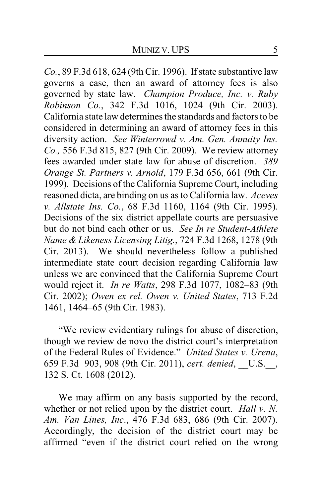*Co.*, 89 F.3d 618, 624 (9th Cir. 1996). If state substantive law governs a case, then an award of attorney fees is also governed by state law. *Champion Produce, Inc. v. Ruby Robinson Co.*, 342 F.3d 1016, 1024 (9th Cir. 2003). California state law determines the standards and factors to be considered in determining an award of attorney fees in this diversity action. *See Winterrowd v. Am. Gen. Annuity Ins. Co.,* 556 F.3d 815, 827 (9th Cir. 2009). We review attorney fees awarded under state law for abuse of discretion. *389 Orange St. Partners v. Arnold*, 179 F.3d 656, 661 (9th Cir. 1999). Decisions of the California Supreme Court, including reasoned dicta, are binding on us as to California law. *Aceves v. Allstate Ins. Co.*, 68 F.3d 1160, 1164 (9th Cir. 1995). Decisions of the six district appellate courts are persuasive but do not bind each other or us. *See In re Student-Athlete Name & Likeness Licensing Litig.*, 724 F.3d 1268, 1278 (9th Cir. 2013). We should nevertheless follow a published intermediate state court decision regarding California law unless we are convinced that the California Supreme Court would reject it. *In re Watts*, 298 F.3d 1077, 1082–83 (9th Cir. 2002); *Owen ex rel. Owen v. United States*, 713 F.2d 1461, 1464–65 (9th Cir. 1983).

"We review evidentiary rulings for abuse of discretion, though we review de novo the district court's interpretation of the Federal Rules of Evidence." *United States v. Urena*, 659 F.3d 903, 908 (9th Cir. 2011), *cert. denied*, \_\_U.S.\_\_, 132 S. Ct. 1608 (2012).

We may affirm on any basis supported by the record, whether or not relied upon by the district court. *Hall v. N. Am. Van Lines, Inc*., 476 F.3d 683, 686 (9th Cir. 2007). Accordingly, the decision of the district court may be affirmed "even if the district court relied on the wrong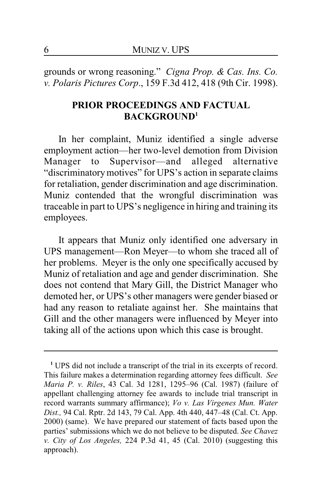grounds or wrong reasoning." *Cigna Prop. & Cas. Ins. Co. v. Polaris Pictures Corp*., 159 F.3d 412, 418 (9th Cir. 1998).

# **PRIOR PROCEEDINGS AND FACTUAL BACKGROUND<sup>1</sup>**

In her complaint, Muniz identified a single adverse employment action—her two-level demotion from Division<br>Manager to Supervisor—and alleged alternative Manager to Supervisor—and alleged alternative "discriminatorymotives" for UPS's action in separate claims for retaliation, gender discrimination and age discrimination. Muniz contended that the wrongful discrimination was traceable in part to UPS's negligence in hiring and training its employees.

It appears that Muniz only identified one adversary in UPS management—Ron Meyer—to whom she traced all of her problems. Meyer is the only one specifically accused by Muniz of retaliation and age and gender discrimination. She does not contend that Mary Gill, the District Manager who demoted her, or UPS's other managers were gender biased or had any reason to retaliate against her. She maintains that Gill and the other managers were influenced by Meyer into taking all of the actions upon which this case is brought.

**<sup>1</sup>** UPS did not include a transcript of the trial in its excerpts of record. This failure makes a determination regarding attorney fees difficult. *See Maria P. v. Riles*, 43 Cal. 3d 1281, 1295–96 (Cal. 1987) (failure of appellant challenging attorney fee awards to include trial transcript in record warrants summary affirmance); *Vo v. Las Virgenes Mun. Water Dist.,* 94 Cal. Rptr. 2d 143, 79 Cal. App. 4th 440, 447–48 (Cal. Ct. App. 2000) (same). We have prepared our statement of facts based upon the parties' submissions which we do not believe to be disputed. *See Chavez v. City of Los Angeles,* 224 P.3d 41, 45 (Cal. 2010) (suggesting this approach).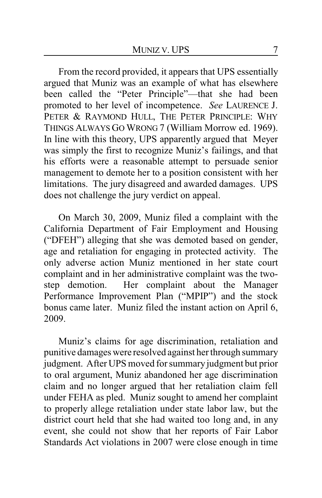From the record provided, it appears that UPS essentially argued that Muniz was an example of what has elsewhere been called the "Peter Principle"—that she had been promoted to her level of incompetence. *See* LAURENCE J. PETER & RAYMOND HULL, THE PETER PRINCIPLE: WHY THINGS ALWAYS GO WRONG 7 (William Morrow ed. 1969). In line with this theory, UPS apparently argued that Meyer was simply the first to recognize Muniz's failings, and that his efforts were a reasonable attempt to persuade senior management to demote her to a position consistent with her limitations. The jury disagreed and awarded damages. UPS does not challenge the jury verdict on appeal.

On March 30, 2009, Muniz filed a complaint with the California Department of Fair Employment and Housing ("DFEH") alleging that she was demoted based on gender, age and retaliation for engaging in protected activity. The only adverse action Muniz mentioned in her state court complaint and in her administrative complaint was the twostep demotion. Her complaint about the Manager Performance Improvement Plan ("MPIP") and the stock bonus came later. Muniz filed the instant action on April 6, 2009.

Muniz's claims for age discrimination, retaliation and punitive damages were resolved against her through summary judgment. After UPS moved for summary judgment but prior to oral argument, Muniz abandoned her age discrimination claim and no longer argued that her retaliation claim fell under FEHA as pled. Muniz sought to amend her complaint to properly allege retaliation under state labor law, but the district court held that she had waited too long and, in any event, she could not show that her reports of Fair Labor Standards Act violations in 2007 were close enough in time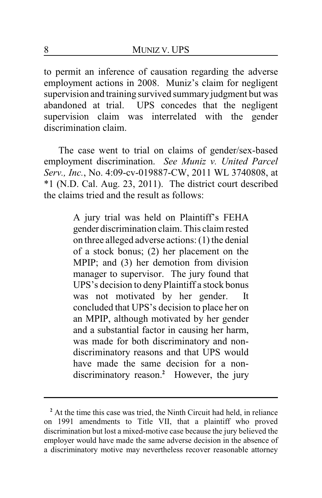to permit an inference of causation regarding the adverse employment actions in 2008. Muniz's claim for negligent supervision and training survived summary judgment but was abandoned at trial. UPS concedes that the negligent supervision claim was interrelated with the gender discrimination claim.

The case went to trial on claims of gender/sex-based employment discrimination. *See Muniz v. United Parcel Serv., Inc.*, No. 4:09-cv-019887-CW, 2011 WL 3740808, at \*1 (N.D. Cal. Aug. 23, 2011). The district court described the claims tried and the result as follows:

> A jury trial was held on Plaintiff's FEHA gender discrimination claim. This claim rested on three alleged adverse actions: (1) the denial of a stock bonus; (2) her placement on the MPIP; and (3) her demotion from division manager to supervisor. The jury found that UPS's decision to denyPlaintiff a stock bonus was not motivated by her gender. It concluded that UPS's decision to place her on an MPIP, although motivated by her gender and a substantial factor in causing her harm, was made for both discriminatory and nondiscriminatory reasons and that UPS would have made the same decision for a nondiscriminatory reason.**<sup>2</sup>** However, the jury

<sup>&</sup>lt;sup>2</sup> At the time this case was tried, the Ninth Circuit had held, in reliance on 1991 amendments to Title VII, that a plaintiff who proved discrimination but lost a mixed-motive case because the jury believed the employer would have made the same adverse decision in the absence of a discriminatory motive may nevertheless recover reasonable attorney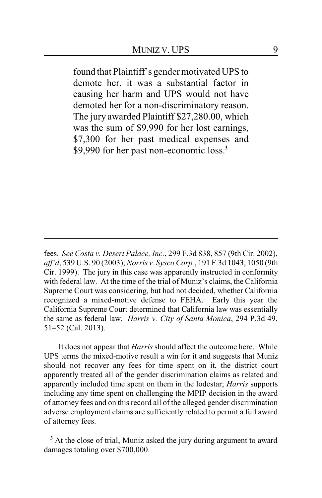found that Plaintiff's gender motivated UPS to demote her, it was a substantial factor in causing her harm and UPS would not have demoted her for a non-discriminatory reason. The jury awarded Plaintiff \$27,280.00, which was the sum of \$9,990 for her lost earnings, \$7,300 for her past medical expenses and \$9,990 for her past non-economic loss.**<sup>3</sup>**

It does not appear that *Harris* should affect the outcome here. While UPS terms the mixed-motive result a win for it and suggests that Muniz should not recover any fees for time spent on it, the district court apparently treated all of the gender discrimination claims as related and apparently included time spent on them in the lodestar; *Harris* supports including any time spent on challenging the MPIP decision in the award of attorney fees and on this record all of the alleged gender discrimination adverse employment claims are sufficiently related to permit a full award of attorney fees.

**<sup>3</sup>** At the close of trial, Muniz asked the jury during argument to award damages totaling over \$700,000.

fees. *See Costa v. Desert Palace, Inc.*, 299 F.3d 838, 857 (9th Cir. 2002), *aff'd*, 539 U.S. 90 (2003); *Norris v. Sysco Corp.*, 191 F.3d 1043, 1050 (9th Cir. 1999). The jury in this case was apparently instructed in conformity with federal law. At the time of the trial of Muniz's claims, the California Supreme Court was considering, but had not decided, whether California recognized a mixed-motive defense to FEHA. Early this year the California Supreme Court determined that California law was essentially the same as federal law. *Harris v. City of Santa Monica*, 294 P.3d 49, 51–52 (Cal. 2013).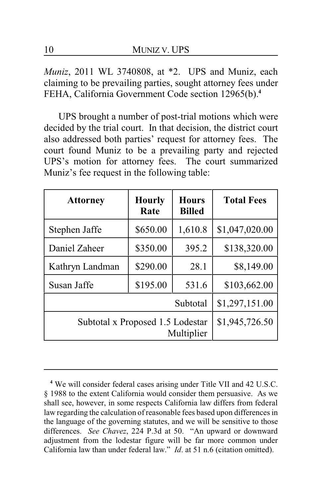*Muniz*, 2011 WL 3740808, at \*2. UPS and Muniz, each claiming to be prevailing parties, sought attorney fees under FEHA, California Government Code section 12965(b).**<sup>4</sup>**

UPS brought a number of post-trial motions which were decided by the trial court. In that decision, the district court also addressed both parties' request for attorney fees. The court found Muniz to be a prevailing party and rejected UPS's motion for attorney fees. The court summarized Muniz's fee request in the following table:

| <b>Attorney</b>                                | <b>Hourly</b><br>Rate | <b>Hours</b><br><b>Billed</b> | <b>Total Fees</b> |
|------------------------------------------------|-----------------------|-------------------------------|-------------------|
| Stephen Jaffe                                  | \$650.00              | 1,610.8                       | \$1,047,020.00    |
| Daniel Zaheer                                  | \$350.00              | 395.2                         | \$138,320.00      |
| Kathryn Landman                                | \$290.00              | 28.1                          | \$8,149.00        |
| Susan Jaffe                                    | \$195.00              | 531.6                         | \$103,662.00      |
|                                                |                       | Subtotal                      | \$1,297,151.00    |
| Subtotal x Proposed 1.5 Lodestar<br>Multiplier |                       |                               | \$1,945,726.50    |

**<sup>4</sup>** We will consider federal cases arising under Title VII and 42 U.S.C. § 1988 to the extent California would consider them persuasive. As we shall see, however, in some respects California law differs from federal law regarding the calculation of reasonable fees based upon differences in the language of the governing statutes, and we will be sensitive to those differences. *See Chavez*, 224 P.3d at 50. "An upward or downward adjustment from the lodestar figure will be far more common under California law than under federal law." *Id*. at 51 n.6 (citation omitted).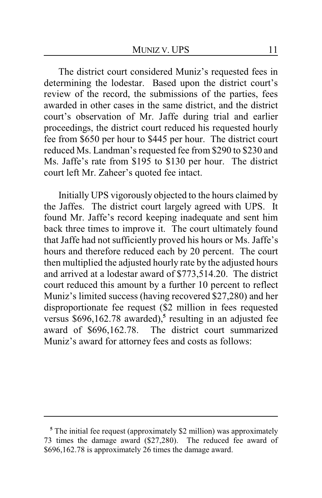The district court considered Muniz's requested fees in determining the lodestar. Based upon the district court's review of the record, the submissions of the parties, fees awarded in other cases in the same district, and the district court's observation of Mr. Jaffe during trial and earlier proceedings, the district court reduced his requested hourly fee from \$650 per hour to \$445 per hour. The district court reduced Ms. Landman's requested fee from \$290 to \$230 and Ms. Jaffe's rate from \$195 to \$130 per hour. The district court left Mr. Zaheer's quoted fee intact.

Initially UPS vigorously objected to the hours claimed by the Jaffes. The district court largely agreed with UPS. It found Mr. Jaffe's record keeping inadequate and sent him back three times to improve it. The court ultimately found that Jaffe had not sufficiently proved his hours or Ms. Jaffe's hours and therefore reduced each by 20 percent. The court then multiplied the adjusted hourly rate by the adjusted hours and arrived at a lodestar award of \$773,514.20. The district court reduced this amount by a further 10 percent to reflect Muniz's limited success (having recovered \$27,280) and her disproportionate fee request (\$2 million in fees requested versus \$696,162.78 awarded),**<sup>5</sup>** resulting in an adjusted fee award of \$696,162.78. The district court summarized Muniz's award for attorney fees and costs as follows:

<sup>&</sup>lt;sup>5</sup> The initial fee request (approximately \$2 million) was approximately 73 times the damage award (\$27,280). The reduced fee award of \$696,162.78 is approximately 26 times the damage award.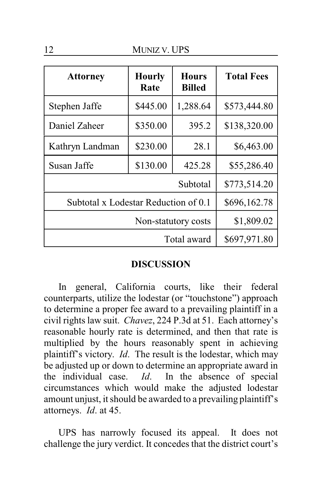12 MUNIZ V. UPS

| <b>Attorney</b>                      | <b>Hourly</b><br>Rate | <b>Hours</b><br><b>Billed</b> | <b>Total Fees</b> |
|--------------------------------------|-----------------------|-------------------------------|-------------------|
| Stephen Jaffe                        | \$445.00              | 1,288.64                      | \$573,444.80      |
| Daniel Zaheer                        | \$350.00              | 395.2                         | \$138,320.00      |
| Kathryn Landman                      | \$230.00              | 28.1                          | \$6,463.00        |
| Susan Jaffe                          | \$130.00              | 425.28                        | \$55,286.40       |
| Subtotal                             |                       |                               | \$773,514.20      |
| Subtotal x Lodestar Reduction of 0.1 |                       |                               | \$696,162.78      |
| Non-statutory costs                  |                       |                               | \$1,809.02        |
| Total award                          |                       |                               | \$697,971.80      |

#### **DISCUSSION**

In general, California courts, like their federal counterparts, utilize the lodestar (or "touchstone") approach to determine a proper fee award to a prevailing plaintiff in a civil rights law suit. *Chavez*, 224 P.3d at 51. Each attorney's reasonable hourly rate is determined, and then that rate is multiplied by the hours reasonably spent in achieving plaintiff's victory. *Id*. The result is the lodestar, which may be adjusted up or down to determine an appropriate award in the individual case. *Id*. In the absence of special circumstances which would make the adjusted lodestar amount unjust, it should be awarded to a prevailing plaintiff's attorneys. *Id*. at 45.

UPS has narrowly focused its appeal. It does not challenge the jury verdict. It concedes that the district court's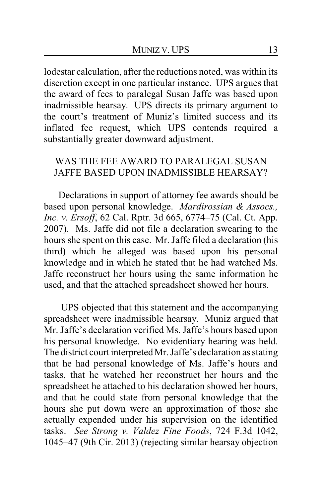lodestar calculation, after the reductions noted, was within its discretion except in one particular instance. UPS argues that the award of fees to paralegal Susan Jaffe was based upon inadmissible hearsay. UPS directs its primary argument to the court's treatment of Muniz's limited success and its inflated fee request, which UPS contends required a substantially greater downward adjustment.

# WAS THE FEE AWARD TO PARALEGAL SUSAN JAFFE BASED UPON INADMISSIBLE HEARSAY?

Declarations in support of attorney fee awards should be based upon personal knowledge. *Mardirossian & Assocs., Inc. v. Ersoff*, 62 Cal. Rptr. 3d 665, 6774–75 (Cal. Ct. App. 2007). Ms. Jaffe did not file a declaration swearing to the hours she spent on this case. Mr. Jaffe filed a declaration (his third) which he alleged was based upon his personal knowledge and in which he stated that he had watched Ms. Jaffe reconstruct her hours using the same information he used, and that the attached spreadsheet showed her hours.

UPS objected that this statement and the accompanying spreadsheet were inadmissible hearsay. Muniz argued that Mr. Jaffe's declaration verified Ms. Jaffe's hours based upon his personal knowledge. No evidentiary hearing was held. The district court interpreted Mr. Jaffe's declaration as stating that he had personal knowledge of Ms. Jaffe's hours and tasks, that he watched her reconstruct her hours and the spreadsheet he attached to his declaration showed her hours, and that he could state from personal knowledge that the hours she put down were an approximation of those she actually expended under his supervision on the identified tasks. *See Strong v. Valdez Fine Foods*, 724 F.3d 1042, 1045–47 (9th Cir. 2013) (rejecting similar hearsay objection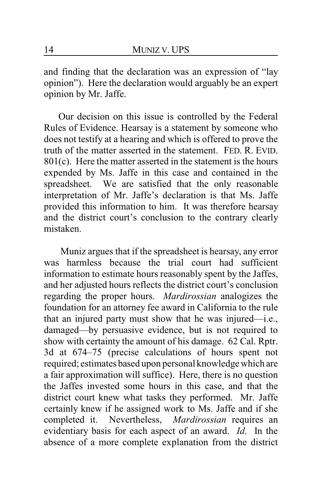and finding that the declaration was an expression of "lay opinion"). Here the declaration would arguably be an expert opinion by Mr. Jaffe.

Our decision on this issue is controlled by the Federal Rules of Evidence. Hearsay is a statement by someone who does not testify at a hearing and which is offered to prove the truth of the matter asserted in the statement. FED. R. EVID. 801(c). Here the matter asserted in the statement is the hours expended by Ms. Jaffe in this case and contained in the spreadsheet. We are satisfied that the only reasonable interpretation of Mr. Jaffe's declaration is that Ms. Jaffe provided this information to him. It was therefore hearsay and the district court's conclusion to the contrary clearly mistaken.

Muniz argues that if the spreadsheet is hearsay, any error was harmless because the trial court had sufficient information to estimate hours reasonably spent by the Jaffes, and her adjusted hours reflects the district court's conclusion regarding the proper hours. *Mardirossian* analogizes the foundation for an attorney fee award in California to the rule that an injured party must show that he was injured—i.e., damaged—by persuasive evidence, but is not required to show with certainty the amount of his damage. 62 Cal. Rptr. 3d at 674–75 (precise calculations of hours spent not required; estimates based upon personal knowledge which are a fair approximation will suffice). Here, there is no question the Jaffes invested some hours in this case, and that the district court knew what tasks they performed. Mr. Jaffe certainly knew if he assigned work to Ms. Jaffe and if she completed it. Nevertheless, *Mardirossian* requires an evidentiary basis for each aspect of an award. *Id*. In the absence of a more complete explanation from the district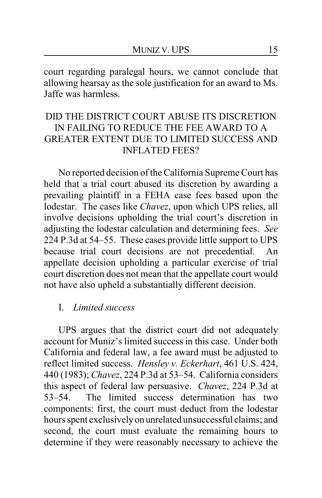court regarding paralegal hours, we cannot conclude that allowing hearsay as the sole justification for an award to Ms. Jaffe was harmless.

# DID THE DISTRICT COURT ABUSE ITS DISCRETION IN FAILING TO REDUCE THE FEE AWARD TO A GREATER EXTENT DUE TO LIMITED SUCCESS AND INFLATED FEES?

No reported decision of the California Supreme Court has held that a trial court abused its discretion by awarding a prevailing plaintiff in a FEHA case fees based upon the lodestar. The cases like *Chavez*, upon which UPS relies, all involve decisions upholding the trial court's discretion in adjusting the lodestar calculation and determining fees. *See* 224 P.3d at 54–55. These cases provide little support to UPS because trial court decisions are not precedential. An appellate decision upholding a particular exercise of trial court discretion does not mean that the appellate court would not have also upheld a substantially different decision.

## I. *Limited success*

UPS argues that the district court did not adequately account for Muniz's limited success in this case. Under both California and federal law, a fee award must be adjusted to reflect limited success. *Hensley v. Eckerhart*, 461 U.S. 424, 440 (1983); *Chavez*, 224 P.3d at 53–54. California considers this aspect of federal law persuasive. *Chavez*, 224 P.3d at 53–54. The limited success determination has two components: first, the court must deduct from the lodestar hours spent exclusivelyon unrelated unsuccessful claims; and second, the court must evaluate the remaining hours to determine if they were reasonably necessary to achieve the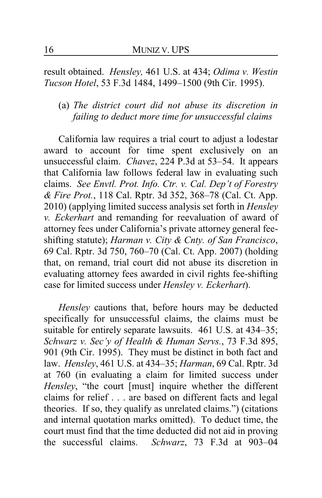result obtained. *Hensley,* 461 U.S. at 434; *Odima v. Westin Tucson Hotel*, 53 F.3d 1484, 1499–1500 (9th Cir. 1995).

(a) *The district court did not abuse its discretion in failing to deduct more time for unsuccessful claims*

California law requires a trial court to adjust a lodestar award to account for time spent exclusively on an unsuccessful claim. *Chavez*, 224 P.3d at 53–54. It appears that California law follows federal law in evaluating such claims. *See Envtl. Prot. Info. Ctr. v. Cal. Dep't of Forestry & Fire Prot.*, 118 Cal. Rptr. 3d 352, 368–78 (Cal. Ct. App. 2010) (applying limited success analysis set forth in *Hensley v. Eckerhart* and remanding for reevaluation of award of attorney fees under California's private attorney general feeshifting statute); *Harman v. City & Cnty. of San Francisco*, 69 Cal. Rptr. 3d 750, 760–70 (Cal. Ct. App. 2007) (holding that, on remand, trial court did not abuse its discretion in evaluating attorney fees awarded in civil rights fee-shifting case for limited success under *Hensley v. Eckerhart*).

*Hensley* cautions that, before hours may be deducted specifically for unsuccessful claims, the claims must be suitable for entirely separate lawsuits. 461 U.S. at 434–35; *Schwarz v. Sec'y of Health & Human Servs.*, 73 F.3d 895, 901 (9th Cir. 1995). They must be distinct in both fact and law. *Hensley*, 461 U.S. at 434–35; *Harman*, 69 Cal. Rptr. 3d at 760 (in evaluating a claim for limited success under *Hensley*, "the court [must] inquire whether the different claims for relief . . . are based on different facts and legal theories. If so, they qualify as unrelated claims.") (citations and internal quotation marks omitted). To deduct time, the court must find that the time deducted did not aid in proving the successful claims. *Schwarz*, 73 F.3d at 903–04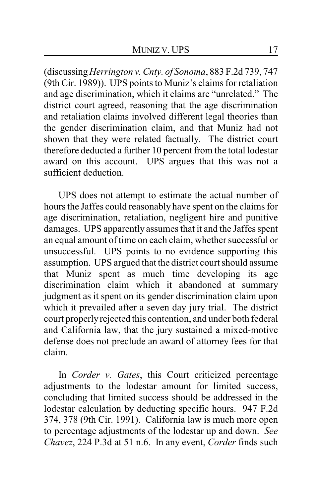(discussing *Herrington v. Cnty. of Sonoma*, 883 F.2d 739, 747 (9th Cir. 1989)). UPS points to Muniz's claims for retaliation and age discrimination, which it claims are "unrelated." The district court agreed, reasoning that the age discrimination and retaliation claims involved different legal theories than the gender discrimination claim, and that Muniz had not shown that they were related factually. The district court therefore deducted a further 10 percent from the total lodestar award on this account. UPS argues that this was not a sufficient deduction.

UPS does not attempt to estimate the actual number of hours the Jaffes could reasonably have spent on the claims for age discrimination, retaliation, negligent hire and punitive damages. UPS apparently assumes that it and the Jaffes spent an equal amount of time on each claim, whether successful or unsuccessful. UPS points to no evidence supporting this assumption. UPS argued that the district court should assume that Muniz spent as much time developing its age discrimination claim which it abandoned at summary judgment as it spent on its gender discrimination claim upon which it prevailed after a seven day jury trial. The district court properly rejected this contention, and under both federal and California law, that the jury sustained a mixed-motive defense does not preclude an award of attorney fees for that claim.

In *Corder v. Gates*, this Court criticized percentage adjustments to the lodestar amount for limited success, concluding that limited success should be addressed in the lodestar calculation by deducting specific hours. 947 F.2d 374, 378 (9th Cir. 1991). California law is much more open to percentage adjustments of the lodestar up and down. *See Chavez*, 224 P.3d at 51 n.6. In any event, *Corder* finds such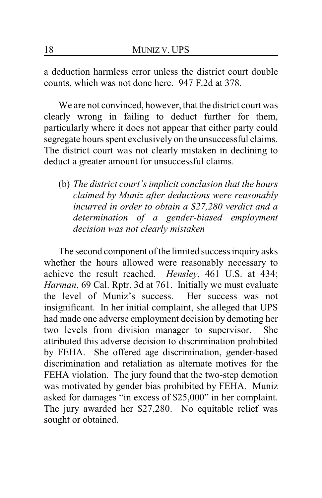a deduction harmless error unless the district court double counts, which was not done here. 947 F.2d at 378.

We are not convinced, however, that the district court was clearly wrong in failing to deduct further for them, particularly where it does not appear that either party could segregate hours spent exclusively on the unsuccessful claims. The district court was not clearly mistaken in declining to deduct a greater amount for unsuccessful claims.

(b) *The district court's implicit conclusion that the hours claimed by Muniz after deductions were reasonably incurred in order to obtain a \$27,280 verdict and a determination of a gender-biased employment decision was not clearly mistaken*

The second component of the limited success inquiry asks whether the hours allowed were reasonably necessary to achieve the result reached. *Hensley*, 461 U.S. at 434; *Harman*, 69 Cal. Rptr. 3d at 761. Initially we must evaluate the level of Muniz's success. Her success was not insignificant. In her initial complaint, she alleged that UPS had made one adverse employment decision by demoting her two levels from division manager to supervisor. She attributed this adverse decision to discrimination prohibited by FEHA. She offered age discrimination, gender-based discrimination and retaliation as alternate motives for the FEHA violation. The jury found that the two-step demotion was motivated by gender bias prohibited by FEHA. Muniz asked for damages "in excess of \$25,000" in her complaint. The jury awarded her \$27,280. No equitable relief was sought or obtained.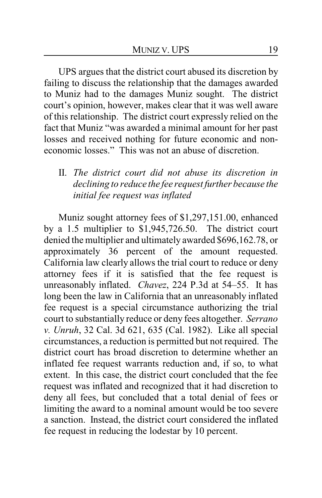UPS argues that the district court abused its discretion by failing to discuss the relationship that the damages awarded to Muniz had to the damages Muniz sought. The district court's opinion, however, makes clear that it was well aware of this relationship. The district court expressly relied on the fact that Muniz "was awarded a minimal amount for her past losses and received nothing for future economic and noneconomic losses." This was not an abuse of discretion.

II. *The district court did not abuse its discretion in declining to reduce the fee request further because the initial fee request was inflated*

Muniz sought attorney fees of \$1,297,151.00, enhanced by a 1.5 multiplier to \$1,945,726.50. The district court denied the multiplier and ultimately awarded \$696,162.78, or approximately 36 percent of the amount requested. California law clearly allows the trial court to reduce or deny attorney fees if it is satisfied that the fee request is unreasonably inflated. *Chavez*, 224 P.3d at 54–55. It has long been the law in California that an unreasonably inflated fee request is a special circumstance authorizing the trial court to substantially reduce or deny fees altogether. *Serrano v. Unruh*, 32 Cal. 3d 621, 635 (Cal. 1982). Like all special circumstances, a reduction is permitted but not required. The district court has broad discretion to determine whether an inflated fee request warrants reduction and, if so, to what extent. In this case, the district court concluded that the fee request was inflated and recognized that it had discretion to deny all fees, but concluded that a total denial of fees or limiting the award to a nominal amount would be too severe a sanction. Instead, the district court considered the inflated fee request in reducing the lodestar by 10 percent.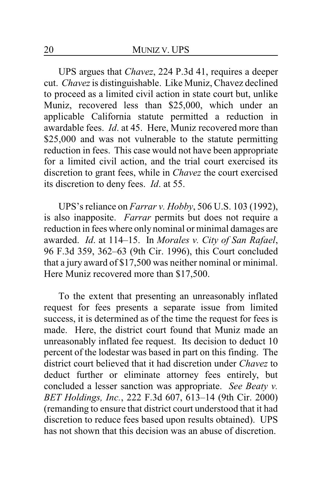UPS argues that *Chavez*, 224 P.3d 41, requires a deeper cut. *Chavez* is distinguishable. Like Muniz, Chavez declined to proceed as a limited civil action in state court but, unlike Muniz, recovered less than \$25,000, which under an applicable California statute permitted a reduction in awardable fees. *Id*. at 45. Here, Muniz recovered more than \$25,000 and was not vulnerable to the statute permitting reduction in fees. This case would not have been appropriate for a limited civil action, and the trial court exercised its discretion to grant fees, while in *Chavez* the court exercised its discretion to deny fees. *Id*. at 55.

UPS's reliance on *Farrar v. Hobby*, 506 U.S. 103 (1992), is also inapposite. *Farrar* permits but does not require a reduction in fees where only nominal or minimal damages are awarded. *Id*. at 114–15. In *Morales v. City of San Rafael*, 96 F.3d 359, 362–63 (9th Cir. 1996), this Court concluded that a jury award of \$17,500 was neither nominal or minimal. Here Muniz recovered more than \$17,500.

To the extent that presenting an unreasonably inflated request for fees presents a separate issue from limited success, it is determined as of the time the request for fees is made. Here, the district court found that Muniz made an unreasonably inflated fee request. Its decision to deduct 10 percent of the lodestar was based in part on this finding. The district court believed that it had discretion under *Chavez* to deduct further or eliminate attorney fees entirely, but concluded a lesser sanction was appropriate. *See Beaty v. BET Holdings, Inc.*, 222 F.3d 607, 613–14 (9th Cir. 2000) (remanding to ensure that district court understood that it had discretion to reduce fees based upon results obtained). UPS has not shown that this decision was an abuse of discretion.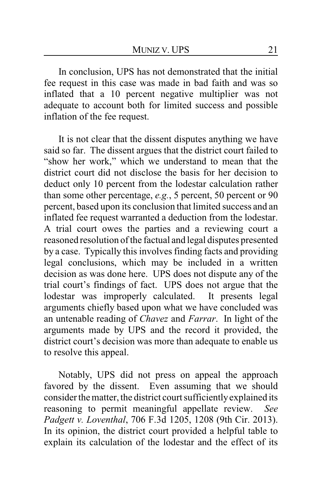In conclusion, UPS has not demonstrated that the initial fee request in this case was made in bad faith and was so inflated that a 10 percent negative multiplier was not adequate to account both for limited success and possible inflation of the fee request.

It is not clear that the dissent disputes anything we have said so far. The dissent argues that the district court failed to "show her work," which we understand to mean that the district court did not disclose the basis for her decision to deduct only 10 percent from the lodestar calculation rather than some other percentage, *e.g.*, 5 percent, 50 percent or 90 percent, based upon its conclusion that limited success and an inflated fee request warranted a deduction from the lodestar. A trial court owes the parties and a reviewing court a reasoned resolution of the factual and legal disputes presented by a case. Typically this involves finding facts and providing legal conclusions, which may be included in a written decision as was done here. UPS does not dispute any of the trial court's findings of fact. UPS does not argue that the lodestar was improperly calculated. It presents legal arguments chiefly based upon what we have concluded was an untenable reading of *Chavez* and *Farrar*. In light of the arguments made by UPS and the record it provided, the district court's decision was more than adequate to enable us to resolve this appeal.

Notably, UPS did not press on appeal the approach favored by the dissent. Even assuming that we should consider the matter, the district court sufficientlyexplained its reasoning to permit meaningful appellate review. *See Padgett v. Loventhal*, 706 F.3d 1205, 1208 (9th Cir. 2013). In its opinion, the district court provided a helpful table to explain its calculation of the lodestar and the effect of its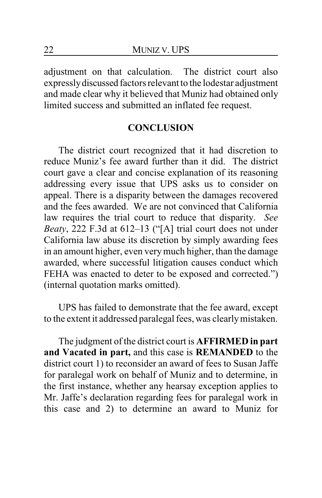adjustment on that calculation. The district court also expresslydiscussed factors relevant to the lodestar adjustment and made clear why it believed that Muniz had obtained only limited success and submitted an inflated fee request.

## **CONCLUSION**

The district court recognized that it had discretion to reduce Muniz's fee award further than it did. The district court gave a clear and concise explanation of its reasoning addressing every issue that UPS asks us to consider on appeal. There is a disparity between the damages recovered and the fees awarded. We are not convinced that California law requires the trial court to reduce that disparity. *See Beaty*, 222 F.3d at 612–13 ("[A] trial court does not under California law abuse its discretion by simply awarding fees in an amount higher, even verymuch higher, than the damage awarded, where successful litigation causes conduct which FEHA was enacted to deter to be exposed and corrected.") (internal quotation marks omitted).

UPS has failed to demonstrate that the fee award, except to the extent it addressed paralegal fees, was clearlymistaken.

The judgment of the district court is **AFFIRMED in part and Vacated in part,** and this case is **REMANDED** to the district court 1) to reconsider an award of fees to Susan Jaffe for paralegal work on behalf of Muniz and to determine, in the first instance, whether any hearsay exception applies to Mr. Jaffe's declaration regarding fees for paralegal work in this case and 2) to determine an award to Muniz for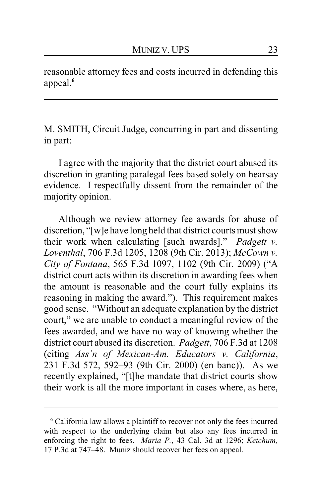reasonable attorney fees and costs incurred in defending this appeal.**<sup>6</sup>**

M. SMITH, Circuit Judge, concurring in part and dissenting in part:

I agree with the majority that the district court abused its discretion in granting paralegal fees based solely on hearsay evidence. I respectfully dissent from the remainder of the majority opinion.

Although we review attorney fee awards for abuse of discretion, "[w]e have long held that district courts must show their work when calculating [such awards]." *Padgett v. Loventhal*, 706 F.3d 1205, 1208 (9th Cir. 2013); *McCown v. City of Fontana*, 565 F.3d 1097, 1102 (9th Cir. 2009) ("A district court acts within its discretion in awarding fees when the amount is reasonable and the court fully explains its reasoning in making the award."). This requirement makes good sense. "Without an adequate explanation by the district court," we are unable to conduct a meaningful review of the fees awarded, and we have no way of knowing whether the district court abused its discretion. *Padgett*, 706 F.3d at 1208 (citing *Ass'n of Mexican-Am. Educators v. California*, 231 F.3d 572, 592–93 (9th Cir. 2000) (en banc)). As we recently explained, "[t]he mandate that district courts show their work is all the more important in cases where, as here,

**<sup>6</sup>** California law allows a plaintiff to recover not only the fees incurred with respect to the underlying claim but also any fees incurred in enforcing the right to fees. *Maria P.*, 43 Cal. 3d at 1296; *Ketchum,* 17 P.3d at 747–48. Muniz should recover her fees on appeal.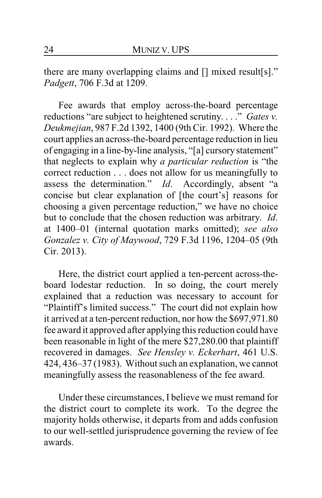there are many overlapping claims and [] mixed result[s]." *Padgett*, 706 F.3d at 1209.

Fee awards that employ across-the-board percentage reductions "are subject to heightened scrutiny. . . ." *Gates v. Deukmejian*, 987 F.2d 1392, 1400 (9th Cir. 1992). Where the court applies an across-the-board percentage reduction in lieu of engaging in a line-by-line analysis, "[a] cursory statement" that neglects to explain why *a particular reduction* is "the correct reduction . . . does not allow for us meaningfully to assess the determination." *Id*. Accordingly, absent "a concise but clear explanation of [the court's] reasons for choosing a given percentage reduction," we have no choice but to conclude that the chosen reduction was arbitrary. *Id*. at 1400–01 (internal quotation marks omitted); *see also Gonzalez v. City of Maywood*, 729 F.3d 1196, 1204–05 (9th Cir. 2013).

Here, the district court applied a ten-percent across-theboard lodestar reduction. In so doing, the court merely explained that a reduction was necessary to account for "Plaintiff's limited success." The court did not explain how it arrived at a ten-percent reduction, nor how the \$697,971.80 fee award it approved after applying this reduction could have been reasonable in light of the mere \$27,280.00 that plaintiff recovered in damages. *See Hensley v. Eckerhart*, 461 U.S. 424, 436–37 (1983). Without such an explanation, we cannot meaningfully assess the reasonableness of the fee award.

Under these circumstances, I believe we must remand for the district court to complete its work. To the degree the majority holds otherwise, it departs from and adds confusion to our well-settled jurisprudence governing the review of fee awards.